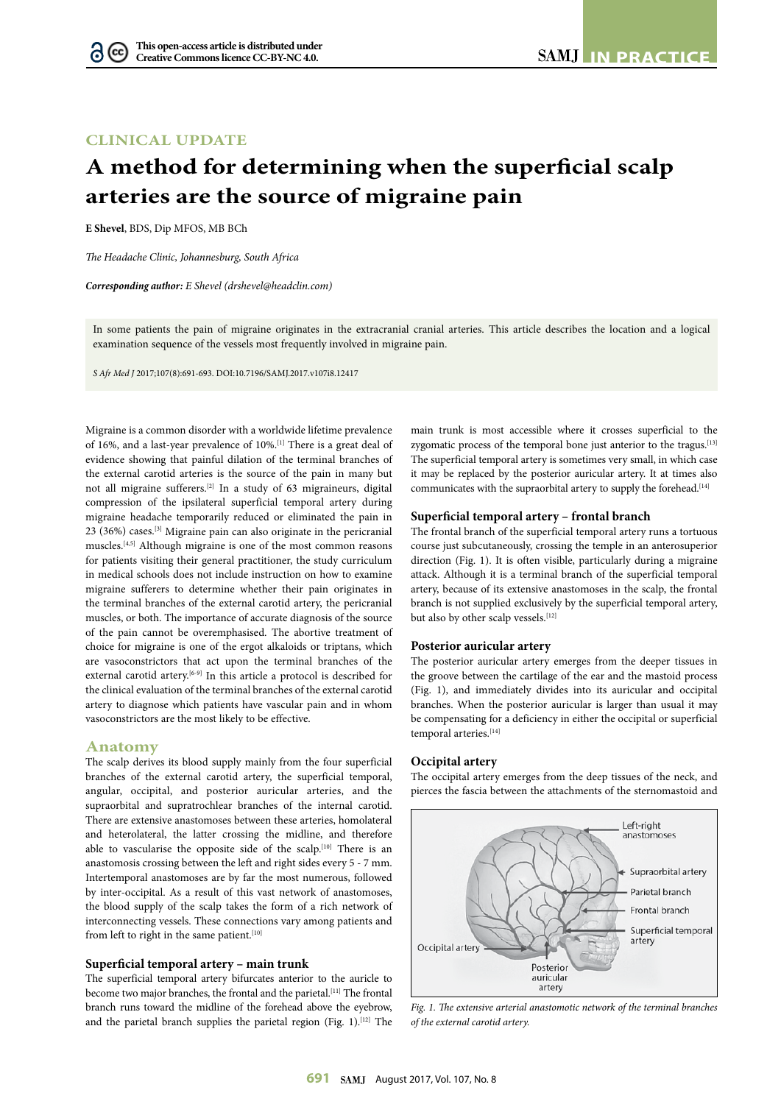# **CLINICAL UPDATE**

ദ

# **A method for determining when the superficial scalp arteries are the source of migraine pain**

**E Shevel**, BDS, Dip MFOS, MB BCh

*The Headache Clinic, Johannesburg, South Africa*

*Corresponding author: E Shevel ([drshevel@headclin.com\)](mailto:drshevel@headclin.com)*

In some patients the pain of migraine originates in the extracranial cranial arteries. This article describes the location and a logical examination sequence of the vessels most frequently involved in migraine pain.

*S Afr Med J* 2017;107(8):691-693. DOI[:10.7196/SAMJ.](10.7196/SAMJ)2017.v107i8.12417

Migraine is a common disorder with a worldwide lifetime prevalence of 16%, and a last-year prevalence of 10%.[1] There is a great deal of evidence showing that painful dilation of the terminal branches of the external carotid arteries is the source of the pain in many but not all migraine sufferers.[2] In a study of 63 migraineurs, digital compression of the ipsilateral superficial temporal artery during migraine headache temporarily reduced or eliminated the pain in 23 (36%) cases.[3] Migraine pain can also originate in the pericranial muscles.[4,5] Although migraine is one of the most common reasons for patients visiting their general practitioner, the study curriculum in medical schools does not include instruction on how to examine migraine sufferers to determine whether their pain originates in the terminal branches of the external carotid artery, the pericranial muscles, or both. The importance of accurate diagnosis of the source of the pain cannot be overemphasised. The abortive treatment of choice for migraine is one of the ergot alkaloids or triptans, which are vasoconstrictors that act upon the terminal branches of the external carotid artery.<sup>[6-9]</sup> In this article a protocol is described for the clinical evaluation of the terminal branches of the external carotid artery to diagnose which patients have vascular pain and in whom vasoconstrictors are the most likely to be effective.

# **Anatomy**

The scalp derives its blood supply mainly from the four superficial branches of the external carotid artery, the superficial temporal, angular, occipital, and posterior auricular arteries, and the supraorbital and supratrochlear branches of the internal carotid. There are extensive anastomoses between these arteries, homolateral and heterolateral, the latter crossing the midline, and therefore able to vascularise the opposite side of the scalp.<sup>[10]</sup> There is an anastomosis crossing between the left and right sides every 5 - 7 mm. Intertemporal anastomoses are by far the most numerous, followed by inter-occipital. As a result of this vast network of anastomoses, the blood supply of the scalp takes the form of a rich network of interconnecting vessels. These connections vary among patients and from left to right in the same patient.<sup>[10]</sup>

# **Superficial temporal artery – main trunk**

The superficial temporal artery bifurcates anterior to the auricle to become two major branches, the frontal and the parietal.<sup>[11]</sup> The frontal branch runs toward the midline of the forehead above the eyebrow, and the parietal branch supplies the parietal region (Fig. 1).<sup>[12]</sup> The

main trunk is most accessible where it crosses superficial to the zygomatic process of the temporal bone just anterior to the tragus.<sup>[13]</sup> The superficial temporal artery is sometimes very small, in which case it may be replaced by the posterior auricular artery. It at times also communicates with the supraorbital artery to supply the forehead.<sup>[14]</sup>

#### **Superficial temporal artery – frontal branch**

The frontal branch of the superficial temporal artery runs a tortuous course just subcutaneously, crossing the temple in an anterosuperior direction (Fig. 1). It is often visible, particularly during a migraine attack. Although it is a terminal branch of the superficial temporal artery, because of its extensive anastomoses in the scalp, the frontal branch is not supplied exclusively by the superficial temporal artery, but also by other scalp vessels.<sup>[12]</sup>

# **Posterior auricular artery**

The posterior auricular artery emerges from the deeper tissues in the groove between the cartilage of the ear and the mastoid process (Fig. 1), and immediately divides into its auricular and occipital branches. When the posterior auricular is larger than usual it may be compensating for a deficiency in either the occipital or superficial temporal arteries.[14]

### **Occipital artery**

The occipital artery emerges from the deep tissues of the neck, and pierces the fascia between the attachments of the sternomastoid and



*Fig. 1. The extensive arterial anastomotic network of the terminal branches of the external carotid artery.*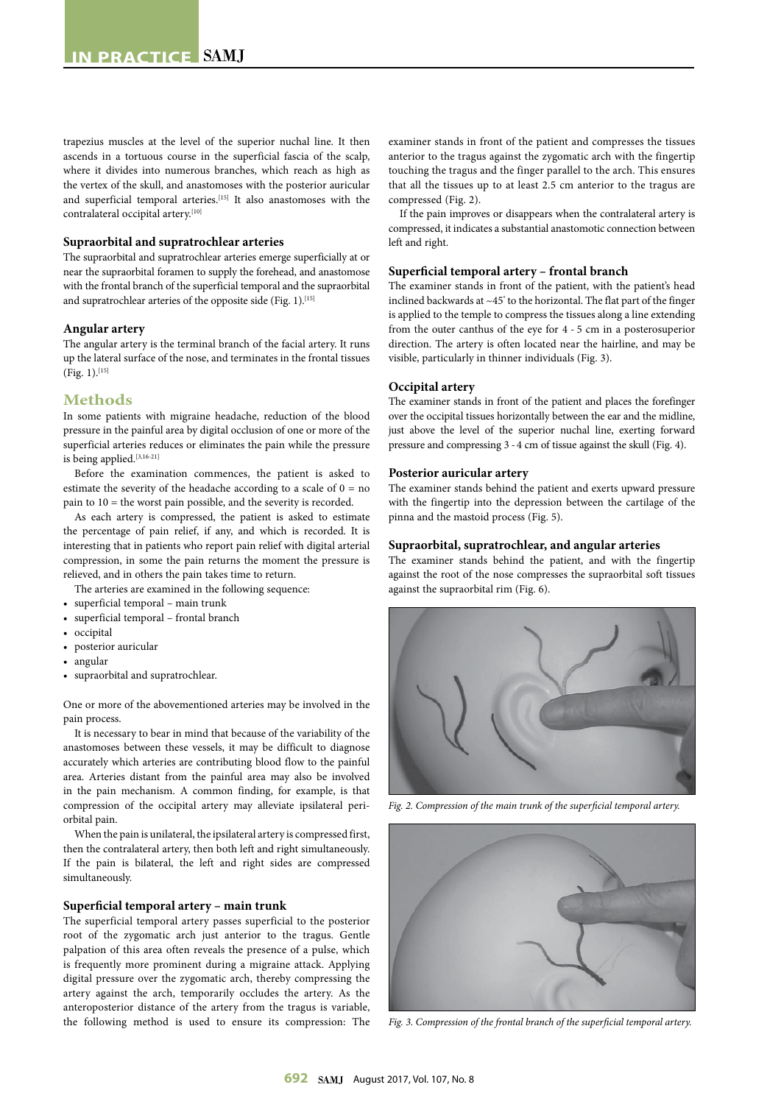trapezius muscles at the level of the superior nuchal line. It then ascends in a tortuous course in the superficial fascia of the scalp, where it divides into numerous branches, which reach as high as the vertex of the skull, and anastomoses with the posterior auricular and superficial temporal arteries.<sup>[15]</sup> It also anastomoses with the contralateral occipital artery.[10]

# **Supraorbital and supratrochlear arteries**

The supraorbital and supratrochlear arteries emerge superficially at or near the supraorbital foramen to supply the forehead, and anastomose with the frontal branch of the superficial temporal and the supraorbital and supratrochlear arteries of the opposite side (Fig. 1).<sup>[15]</sup>

# **Angular artery**

The angular artery is the terminal branch of the facial artery. It runs up the lateral surface of the nose, and terminates in the frontal tissues  $(Fig. 1).^{[15]}$ 

# **Methods**

In some patients with migraine headache, reduction of the blood pressure in the painful area by digital occlusion of one or more of the superficial arteries reduces or eliminates the pain while the pressure is being applied.[3,16-21]

Before the examination commences, the patient is asked to estimate the severity of the headache according to a scale of  $0 = no$ pain to 10 = the worst pain possible, and the severity is recorded.

As each artery is compressed, the patient is asked to estimate the percentage of pain relief, if any, and which is recorded. It is interesting that in patients who report pain relief with digital arterial compression, in some the pain returns the moment the pressure is relieved, and in others the pain takes time to return.

The arteries are examined in the following sequence:

- superficial temporal main trunk
- superficial temporal frontal branch
- occipital
- posterior auricular
- angular
- supraorbital and supratrochlear.

One or more of the abovementioned arteries may be involved in the pain process.

It is necessary to bear in mind that because of the variability of the anastomoses between these vessels, it may be difficult to diagnose accurately which arteries are contributing blood flow to the painful area. Arteries distant from the painful area may also be involved in the pain mechanism. A common finding, for example, is that compression of the occipital artery may alleviate ipsilateral periorbital pain.

When the pain is unilateral, the ipsilateral artery is compressed first, then the contralateral artery, then both left and right simultaneously. If the pain is bilateral, the left and right sides are compressed simultaneously.

### **Superficial temporal artery – main trunk**

The superficial temporal artery passes superficial to the posterior root of the zygomatic arch just anterior to the tragus. Gentle palpation of this area often reveals the presence of a pulse, which is frequently more prominent during a migraine attack. Applying digital pressure over the zygomatic arch, thereby compressing the artery against the arch, temporarily occludes the artery. As the anteroposterior distance of the artery from the tragus is variable, the following method is used to ensure its compression: The

examiner stands in front of the patient and compresses the tissues anterior to the tragus against the zygomatic arch with the fingertip touching the tragus and the finger parallel to the arch. This ensures that all the tissues up to at least 2.5 cm anterior to the tragus are compressed (Fig. 2).

If the pain improves or disappears when the contralateral artery is compressed, it indicates a substantial anastomotic connection between left and right.

#### **Superficial temporal artery – frontal branch**

The examiner stands in front of the patient, with the patient's head inclined backwards at ~45° to the horizontal. The flat part of the finger is applied to the temple to compress the tissues along a line extending from the outer canthus of the eye for 4 - 5 cm in a posterosuperior direction. The artery is often located near the hairline, and may be visible, particularly in thinner individuals (Fig. 3).

#### **Occipital artery**

The examiner stands in front of the patient and places the forefinger over the occipital tissues horizontally between the ear and the midline, just above the level of the superior nuchal line, exerting forward pressure and compressing 3 - 4 cm of tissue against the skull (Fig. 4).

### **Posterior auricular artery**

The examiner stands behind the patient and exerts upward pressure with the fingertip into the depression between the cartilage of the pinna and the mastoid process (Fig. 5).

# **Supraorbital, supratrochlear, and angular arteries**

The examiner stands behind the patient, and with the fingertip against the root of the nose compresses the supraorbital soft tissues against the supraorbital rim (Fig. 6).



*Fig. 2. Compression of the main trunk of the superficial temporal artery.*



*Fig. 3. Compression of the frontal branch of the superficial temporal artery.*